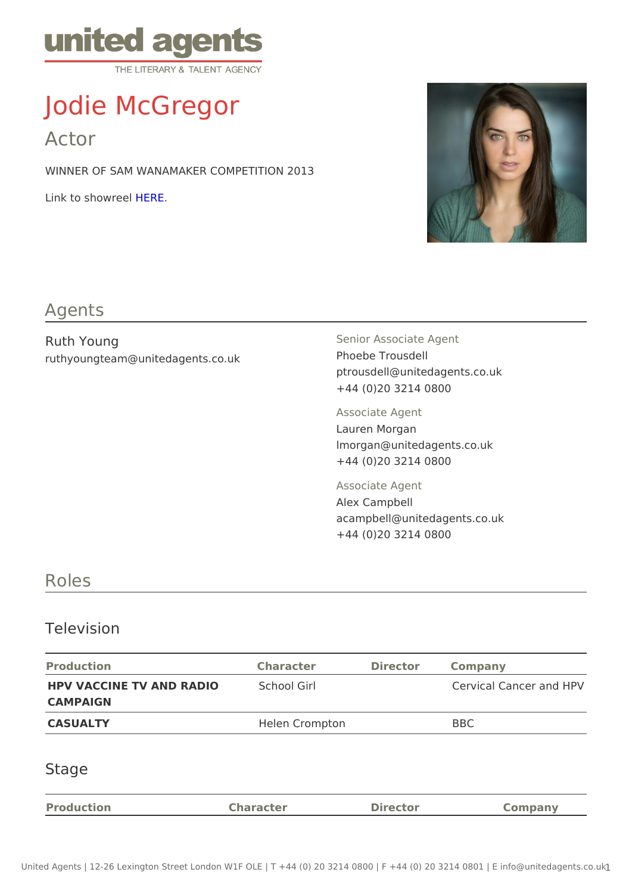# Jodie McGregor

Actor

WINNER OF SAM WANAMAKER COMPETITION 2013

 $Link to show the RIE$ 

#### Agents

Ruth Young ruthyoungteam@unitedagents.co.uk Senior Associate Agent Phoebe Trousdell ptrousdell@unitedagents.co.uk +44 (0)20 3214 0800

Associate Agent Lauren Morgan

lmorgan@unitedagents.co.uk +44 (0)20 3214 0800

Associate Agent Alex Campbell acampbell@unitedagents.co.uk +44 (0)20 3214 0800

## Roles

### Television

| Production                         | Character      | Director Company       |  |
|------------------------------------|----------------|------------------------|--|
| HPV VACCINE TV AND RADIOChool Girl |                | Cervical Cancer and HP |  |
| CAMPAIGN                           |                |                        |  |
| CASUALTY                           | Helen Crompton | BBC                    |  |

## Stage